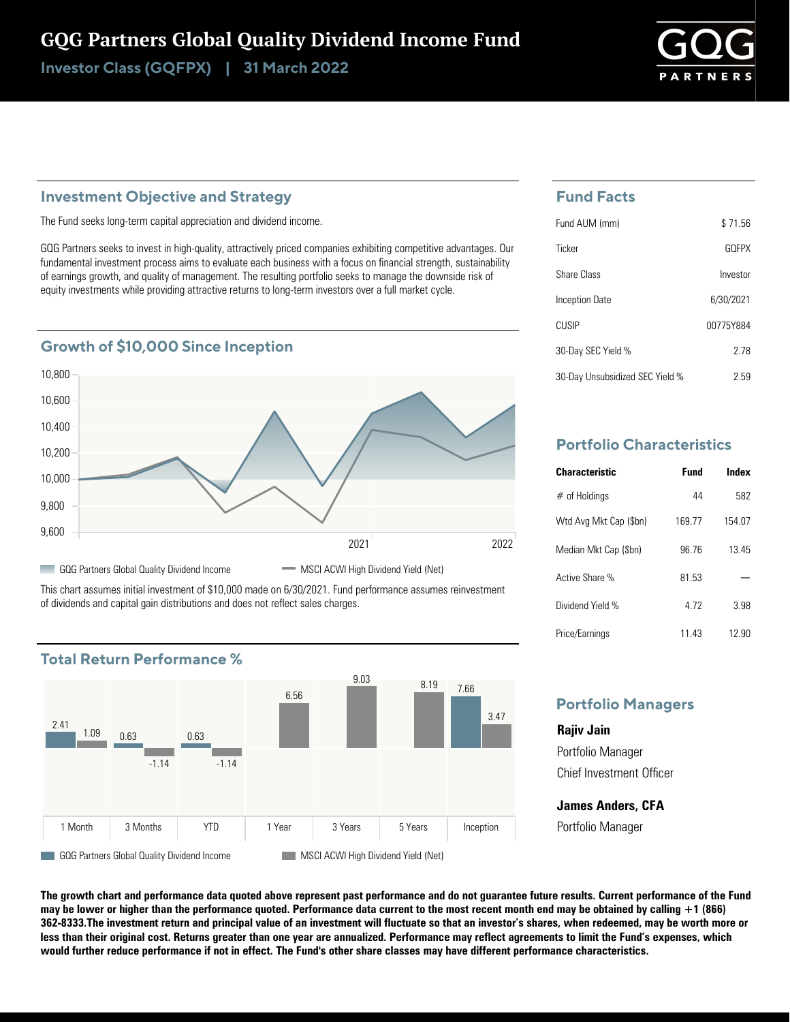# GQG Partners Global Quality Dividend Income Fund

Investor Class (GQFPX) | 31 March 2022

#### **Investment Objective and Strategy**

The Fund seeks long-term capital appreciation and dividend income.

GQG Partners seeks to invest in high-quality, attractively priced companies exhibiting competitive advantages. Our fundamental investment process aims to evaluate each business with a focus on financial strength, sustainability of earnings growth, and quality of management. The resulting portfolio seeks to manage the downside risk of equity investments while providing attractive returns to long-term investors over a full market cycle.





This chart assumes initial investment of \$10,000 made on 6/30/2021. Fund performance assumes reinvestment of dividends and capital gain distributions and does not reflect sales charges.



### **Fund Facts**

| Fund AUM (mm)                   | \$71.56   |
|---------------------------------|-----------|
| Ticker                          | GOFPX     |
| Share Class                     | Investor  |
| Inception Date                  | 6/30/2021 |
| <b>CUSIP</b>                    | 00775Y884 |
| 30-Day SEC Yield %              | 278       |
| 30-Day Unsubsidized SEC Yield % | 2.59      |

### **Portfolio Characteristics**

| <b>Characteristic</b>  | Fund  | Index  |
|------------------------|-------|--------|
| $#$ of Holdings        | 44    | 582    |
| Wtd Avg Mkt Cap (\$bn) | 16977 | 154 07 |
| Median Mkt Cap (\$bn)  | 9676  | 1345   |
| Active Share %         | 81.53 |        |
| Dividend Yield %       | 472   | 3.98   |
| Price/Earnings         | 11 43 | 12.90  |

#### **Portfolio Managers**

**Rajiv Jain** Portfolio Manager Chief Investment Officer

**James Anders, CFA** Portfolio Manager

**The growth chart and performance data quoted above represent past performance and do not guarantee future results. Current performance of the Fund may be lower or higher than the performance quoted. Performance data current to the most recent month end may be obtained by calling +1 (866) 362-8333.The investment return and principal value of an investment will fluctuate so that an investor's shares, when redeemed, may be worth more or less than their original cost. Returns greater than one year are annualized. Performance may reflect agreements to limit the Fund's expenses, which would further reduce performance if not in effect. The Fund's other share classes may have different performance characteristics.**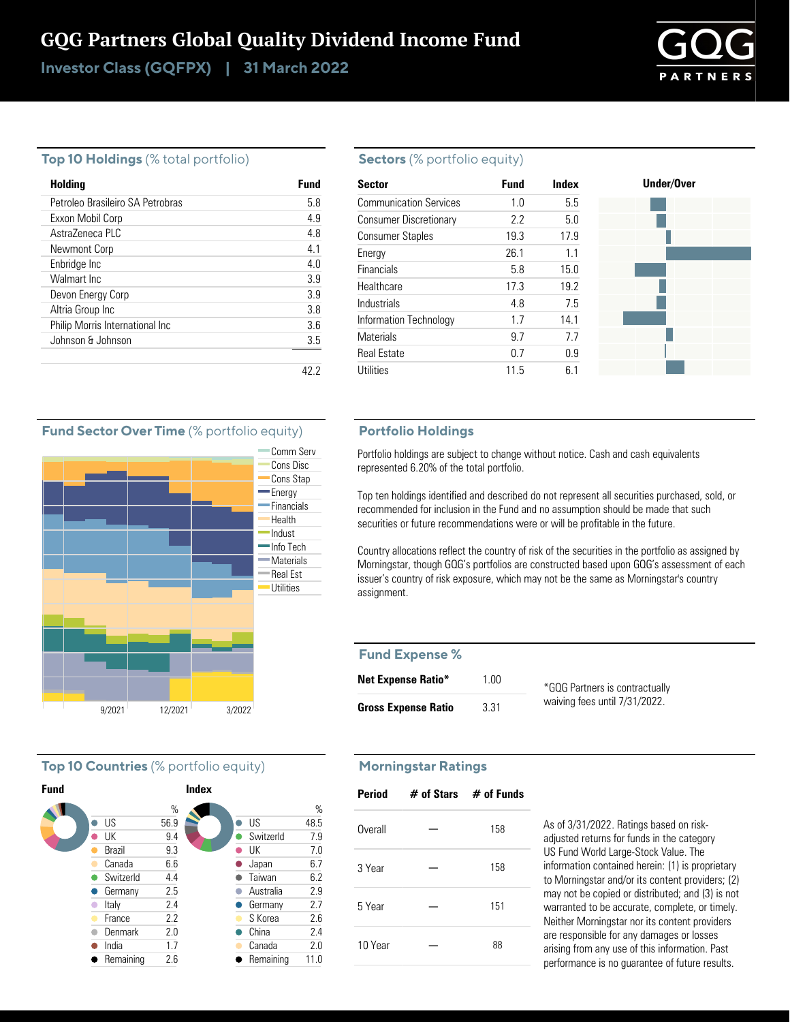## GQG Partners Global Quality Dividend Income Fund

Investor Class (GQFPX) | 31 March 2022

# **PTNEP**

#### **Top 10 Holdings** (% total portfolio)

| Holding                          | Fund |
|----------------------------------|------|
| Petroleo Brasileiro SA Petrobras | 58   |
| Exxon Mobil Corp                 | 4.9  |
| Astra7eneca PLC                  | 4.8  |
| Newmont Corp                     | 41   |
| Enbridge Inc                     | 4.0  |
| Walmart Inc.                     | 3.9  |
| Devon Energy Corp                | 3.9  |
| Altria Group Inc                 | 38   |
| Philip Morris International Inc  | 36   |
| Johnson & Johnson                | 3.5  |
|                                  |      |

#### **Sectors** (% portfolio equity)

| <b>Sector</b>                 | <b>Fund</b> | Index | Under/Over |
|-------------------------------|-------------|-------|------------|
| <b>Communication Services</b> | 1.0         | 5.5   |            |
| <b>Consumer Discretionary</b> | 2.2         | 5.0   |            |
| <b>Consumer Staples</b>       | 19.3        | 17.9  |            |
| Energy                        | 26.1        | 1.1   |            |
| Financials                    | 5.8         | 15.0  |            |
| Healthcare                    | 17.3        | 19.2  |            |
| Industrials                   | 4.8         | 7.5   |            |
| Information Technology        | 17          | 14.1  |            |
| <b>Materials</b>              | 9.7         | 7.7   |            |
| <b>Real Estate</b>            | 0.7         | 0.9   |            |
| Utilities                     | 11.5        | 6.1   |            |

#### **Portfolio Holdings**

Portfolio holdings are subject to change without notice. Cash and cash equivalents represented 6.20% of the total portfolio.

Top ten holdings identified and described do not represent all securities purchased, sold, or recommended for inclusion in the Fund and no assumption should be made that such securities or future recommendations were or will be profitable in the future.

Country allocations reflect the country of risk of the securities in the portfolio as assigned by Morningstar, though GQG's portfolios are constructed based upon GQG's assessment of each issuer's country of risk exposure, which may not be the same as Morningstar's country assignment.

#### **Fund Expense %**

| <b>Net Expense Ratio*</b>  | 1.00 | *GQG Partners is contract  |
|----------------------------|------|----------------------------|
| <b>Gross Expense Ratio</b> | 3.31 | waiving fees until 7/31/20 |

#### ually  $22.$

#### **Morningstar Ratings**

| <b>Period</b> | $\#$ of Stars $\#$ of Funds |     |
|---------------|-----------------------------|-----|
| Overall       |                             | 158 |
| 3 Year        |                             | 158 |
| 5 Year        |                             | 151 |
| 10 Year       |                             | 88  |

As of 3/31/2022. Ratings based on riskadjusted returns for funds in the category US Fund World Large-Stock Value. The information contained herein: (1) is proprietary to Morningstar and/or its content providers; (2) may not be copied or distributed; and (3) is not warranted to be accurate, complete, or timely. Neither Morningstar nor its content providers are responsible for any damages or losses arising from any use of this information. Past performance is no guarantee of future results.

#### **Fund Sector Over Time** (% portfolio equity)



#### **Top 10 Countries** (% portfolio equity)